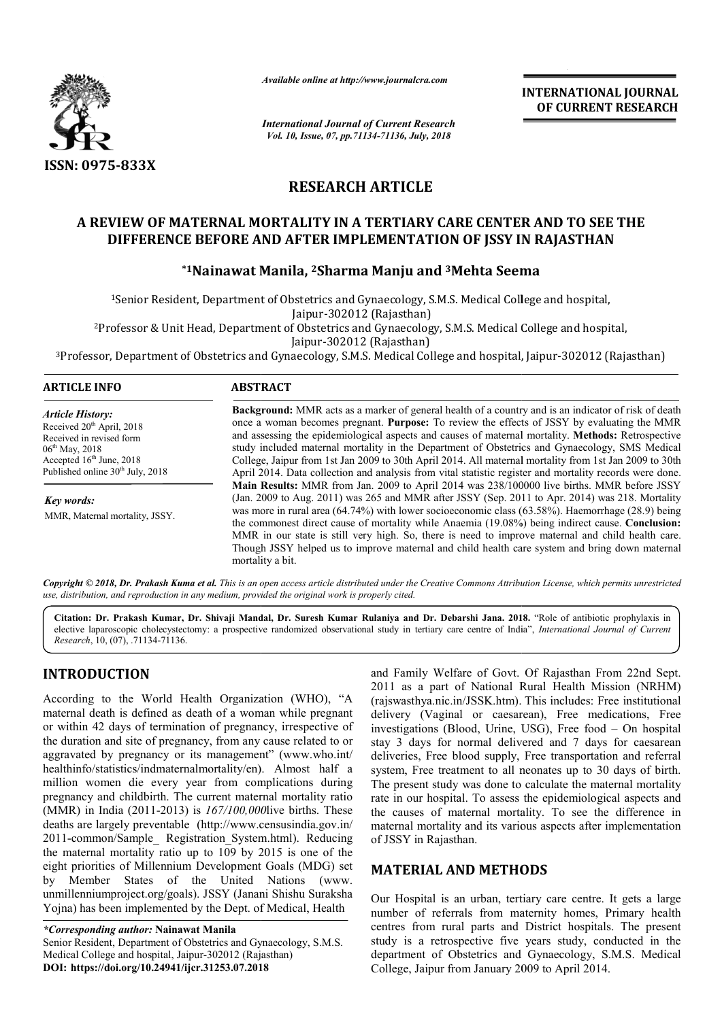

*Available online at http://www.journalcra.com*

*International Journal of Current Research Vol. 10, Issue, 07, pp.71134-71136, July, 2018*

**INTERNATIONAL JOURNAL OF CURRENT RESEARCH**

# **RESEARCH ARTICLE**

# **A REVIEW OF MATERNAL MORTALITY IN A TERTIARY CARE CENTER AND TO SEE THE**  VIEW OF MATERNAL MORTALITY IN A TERTIARY CARE CENTER AND TO SEE THE<br>DIFFERENCE BEFORE AND AFTER IMPLEMENTATION OF JSSY IN RAJASTHAN

# **\*1Nainawat Manila, Nainawat 2Sharma Manju and 3Mehta Seema**

1Senior Resident, Department of Obstetrics and Gynaecology, S.M.S. Medical College and hospital, Senior Jaipur-302012 (Rajasthan) <sup>2</sup>Professor & Unit Head, Department of Obstetrics and Gynaecology, S.M.S. Medical College and hospital,<br>Jaipur-302012 (Rajasthan)

3Professor, Department of Obstetrics and Gynaecology, S.M.S. Medical College and hospital, Jaipur Professor, Medical College and Gynaecology, Jaipur-302012 (Rajasthan)

#### **ARTICLE INFO ABSTRACT**

*Article History:* Received 20<sup>th</sup> April, 2018 Received in revised form 06th May, 2018 Accepted 16<sup>th</sup> June, 2018 Published online  $30<sup>th</sup>$  July, 2018

*Key words:* MMR, Maternal mortality, JSSY.

**Background:** MMR acts as a marker of general health of a country and is an indicator of risk of death once a woman becomes pregnant. **Purpose:** To review the effects of JSSY by evaluating the MMR and assessing the epidemiological aspects and causes of maternal mortality. Methods: Retrospective study included maternal mortality in the Department of Obstetrics and Gynaecology, SMS Medical College, Jaipur from 1st Jan 2009 to 30th April 2014. All maternal mortality from 1st Jan 2009 to 30th April 2014. Data collection and analysis from vital statistic register and mortality records were done. Main Results: MMR from Jan. 2009 to April 2014 was 238/100000 live births. MMR before JSSY (Jan. 2009 to Aug. 2011) was 265 and MMR after JSSY (Sep. 2011 to Apr. 2014) was 218. Mortalit was more in rural area (64.74%) with lower socioeconomic class (63.58%). Haemorrhage (28.9) being was more in rural area (64.74%) with lower socioeconomic class (63.58%). Haemorrhage (28.9) being the commonest direct cause of mortality while Anaemia (19.08%) being indirect cause. **Conclusion:** MMR in our state is still very high. So, there is need to improve maternal and child health care. MMR in our state is still very high. So, there is need to improve maternal and child health care.<br>Though JSSY helped us to improve maternal and child health care system and bring down maternal mortality a bit. Background: MMR acts as a marker of general health of a country and is an indicator of risk of death once a woman becomes pregnant. Purpose: To review the effects of JSSY by evaluating the MMR and assessing the epidemiolog study included maternal mortality in the Department of Obstetrics and Gynaecology, SMS Medical College, Jaipur from 1st Jan 2009 to 30th April 2014. All maternal mortality from 1st Jan 2009 to 30th April 2014. Data collect

Copyright © 2018, Dr. Prakash Kuma et al. This is an open access article distributed under the Creative Commons Attribution License, which permits unrestrictea *use, distribution, and reproduction in any medium, provided the original work is properly cited.*

**Citation: Dr. Prakash Kumar, Dr. Shivaji Mandal, Dr. Suresh Kumar Rulaniya and Dr. Debarshi Jana. 201 2018.** "Role of antibiotic prophylaxis in elective laparoscopic cholecystectomy: a prospective randomized observational study in tertiary care centre of India", *International Journal of Current Research*, 10, (07), .71134-71136.

# **INTRODUCTION**

According to the World Health Organization (WHO), "A maternal death is defined as death of a woman while pregnant or within 42 days of termination of pregnancy, irrespective of the duration and site of pregnancy, from any cause related to or aggravated by pregnancy or its management" (www.who.int/ healthinfo/statistics/indmaternalmortality/en) ). Almost half a million women die every year from complications during pregnancy and childbirth. The current mater maternal mortality ratio (MMR) in India (2011-2013) is *167/100,000* live births. These deaths are largely preventable (http://www.censusindia.gov.in/ 2011-common/Sample\_ Registration\_System.html). Reducing the maternal mortality ratio up to 109 by 2015 is one of the eight priorities of Millennium Development Goals (MDG) set by Member States of the United Nations ( (www. unmillenniumproject.org/goals). JSSY (Janani Shishu Suraksha Yojna) has been implemented by the Dept. of Medical, Health s are largely preventable (http://www.censusindia.gov.in/<br>common/Sample\_ Registration\_System.html). Reducing<br>aternal mortality ratio up to 109 by 2015 is one of the

*\*Corresponding author:* **Nainawat Manila** Senior Resident, Department of Obstetrics and Gynaecology, S.M.S. Medical College and hospital, Jaipur-302012 (Rajasthan) **DOI: https://doi.org/10.24941/ijcr.31253.07.2018**

and Family Welfare of Govt. Of Rajasthan From 22nd Sept.<br>
2011 as a part of National Rural Health Mission (NRHM)<br>
h of a woman while pregnant<br>
delivery (Vaginal or caesarean), Free medications, Free<br>
of pregnancy, irrespec 2011 as a part of National Rural Health Mission (NRHM) and Family Welfare of Govt. Of Rajasthan From 22nd Sept.<br>
2011 as a part of National Rural Health Mission (NRHM)<br>
(rajswasthya.nic.in/JSSK.htm). This includes: Free institutional delivery (Vaginal or caesarean), Free medications, Free delivery (Vaginal or caesarean), Free medications, Free investigations (Blood, Urine, USG), Free food – On hospital stay 3 days for normal delivered and 7 days for caesarean deliveries, Free blood supply, Free transportation and referral system, Free treatment to all neonates up to 30 days of birth. The present study was done to calculate the maternal mortality rate in our hospital. To assess the epidemiological aspects and the causes of maternal mortality. To see the difference in maternal mortality and its various aspects after implementation of JSSY in Rajasthan. stay 3 days for normal delivered and 7 days for caesarean deliveries, Free blood supply, Free transportation and referral system, Free treatment to all neonates up to 30 days of birth. The present study was done to calcula **INTERNATIONAL JOURNAL CONTROVAL JOURNAL FORM CONTROVAL STREET AND TO SEE THE CORRENT RESEARCH (Rajistim)**<br> **OF CURRENT ATION 606, 2018**<br> **CERTIARY CARE CENTER AND TO SEE THE EMENTATION OF JSSY IN RAJASTHAN**<br> **Manju and <sup>3**</sup>

## **MATERIAL AND METHODS**

Our Hospital is an urban, tertiary care centre. It gets a large number of referrals from maternity homes, Primary health centres from rural parts and District hospitals. The present study is a retrospective five years study, conducted in the department of Obstetrics and Gynaecology, S.M.S. Medical College, Jaipur from January 2009 to April 2014.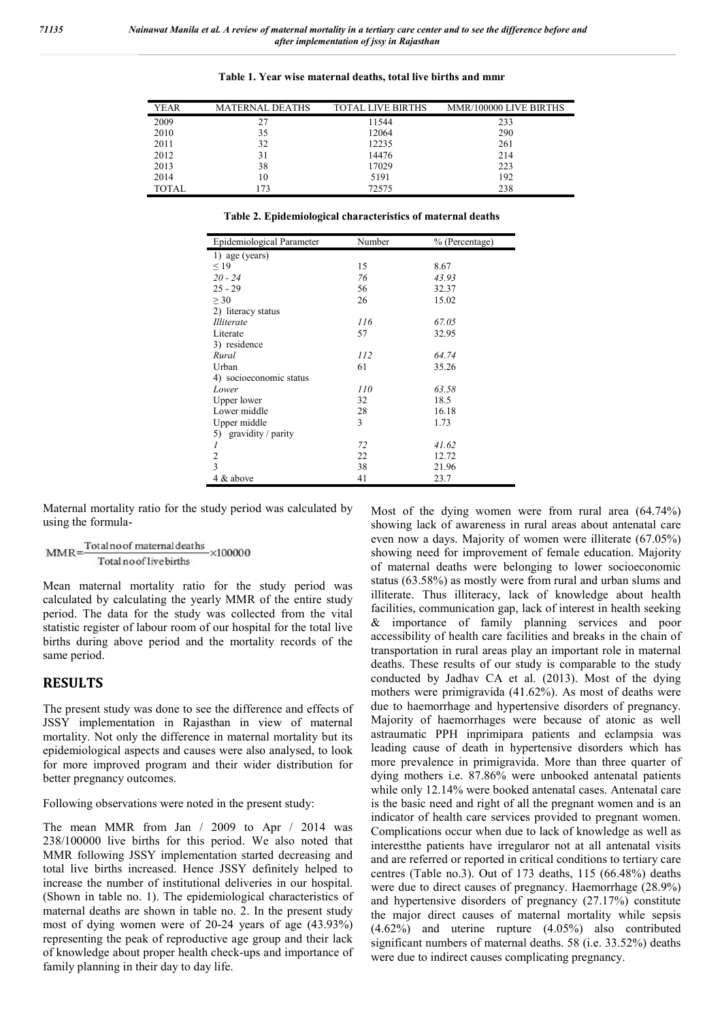| <b>YEAR</b>  | <b>MATERNAL DEATHS</b> | TOTAL LIVE BIRTHS | MMR/100000 LIVE BIRTHS |
|--------------|------------------------|-------------------|------------------------|
| 2009         |                        | 11544             | 233                    |
| 2010         | 35                     | 12064             | 290                    |
| 2011         | 32                     | 12235             | 261                    |
| 2012         | 31                     | 14476             | 214                    |
| 2013         | 38                     | 17029             | 223                    |
| 2014         | 10                     | 5191              | 192                    |
| <b>TOTAL</b> | 173                    | 72575             | 238                    |

**Table 1. Year wise maternal deaths, total live births and mmr**

**Table 2. Epidemiological characteristics of maternal deaths**

| Epidemiological Parameter | Number | % (Percentage) |
|---------------------------|--------|----------------|
| 1) age (years)            |        |                |
| $\leq$ 19                 | 15     | 8.67           |
| $20 - 24$                 | 76     | 43.93          |
| $25 - 29$                 | 56     | 32.37          |
| > 30                      | 26     | 15.02          |
| 2) literacy status        |        |                |
| <i>Illiterate</i>         | 116    | 67.05          |
| Literate                  | 57     | 32.95          |
| 3) residence              |        |                |
| Rural                     | 112    | 64.74          |
| Urban                     | 61     | 35.26          |
| 4) socioeconomic status   |        |                |
| Lower                     | 110    | 63.58          |
| Upper lower               | 32     | 18.5           |
| Lower middle              | 28     | 16.18          |
| Upper middle              | 3      | 1.73           |
| gravidity / parity<br>5)  |        |                |
| 1                         | 72     | 41.62          |
| $\overline{2}$            | 22     | 12.72          |
| $\overline{3}$            | 38     | 21.96          |
| 4 & above                 | 41     | 23.7           |

Maternal mortality ratio for the study period was calculated by using the formula-

$$
MMR = \frac{Totalno of \text{ maternal deaths}}{Total no of live births} \times 100000
$$

Mean maternal mortality ratio for the study period was calculated by calculating the yearly MMR of the entire study period. The data for the study was collected from the vital statistic register of labour room of our hospital for the total live births during above period and the mortality records of the same period.

### **RESULTS**

The present study was done to see the difference and effects of JSSY implementation in Rajasthan in view of maternal mortality. Not only the difference in maternal mortality but its epidemiological aspects and causes were also analysed, to look for more improved program and their wider distribution for better pregnancy outcomes.

Following observations were noted in the present study:

The mean MMR from Jan / 2009 to Apr / 2014 was 238/100000 live births for this period. We also noted that MMR following JSSY implementation started decreasing and total live births increased. Hence JSSY definitely helped to increase the number of institutional deliveries in our hospital. (Shown in table no. 1). The epidemiological characteristics of maternal deaths are shown in table no. 2. In the present study most of dying women were of 20-24 years of age (43.93%) representing the peak of reproductive age group and their lack of knowledge about proper health check-ups and importance of family planning in their day to day life. The data for the study was collected from the vital<br>register of labour room of our hospital for the total live<br>luring above period and the mortality records of the<br>riod.<br>**LTS**<br>sent study was done to see the difference and

The distance of the dying women were from rural area of the dying women were functuated above for the dying and for improvement of female education of maternal deaths were belonging to lower social of maternal deaths were showing lack of awareness in rural areas about antenatal care even now a days. Majority of women were illiterate (67.05%) showing need for improvement of female education. Majority of maternal deaths were belonging to lower socioeconomic status (63.58%) as mostly were from rural and urban slums and illiterate. Thus illiteracy, lack of knowledge about health facilities, communication gap, lack of interest in health seeking & importance of family planning services and poor accessibility of health care facilities and breaks in the chain of transportation in rural areas play an important role in maternal deaths. These results of our study is comparable to the study conducted by Jadhav CA et al. (2013). Most of the dying mothers were primigravida (41.62%). As most of deaths were due to haemorrhage and hypertensive disorders of pregnancy. Majority of haemorrhages were because of atonic as well astraumatic PPH inprimipara patients and eclampsia was leading cause of death in hypertensive disorders which has more prevalence in primigravida. More than three quarter of dying mothers i.e. 87.86% were unbooked antenatal patients while only 12.14% were booked antenatal cases. Antenatal care is the basic need and right of all the pregnant women and is an indicator of health care services provided to pregnant women. Complications occur when due to lack of knowledge as well as interestthe patients have irregularor not at all antenatal visits and are referred or reported in critical conditions to tertiary care centres (Table no.3). Out of 173 deaths, 115 (66.48%) deaths were due to direct causes of pregnancy. Haemorrhage (28.9%) and hypertensive disorders of pregnancy (27.17%) constitute the major direct causes of maternal mortality while sepsis centres (Table no.3). Out of 173 deaths, 115 (66.48%) deaths<br>were due to direct causes of pregnancy. Haemorrhage (28.9%)<br>and hypertensive disorders of pregnancy (27.17%) constitute<br>the major direct causes of maternal mort significant numbers of maternal deaths. 58 (i.e. 33.52%) deaths were due to indirect causes complicating pregnancy. Most of the dying women were from rural area  $(64.74\%)$ even now a days. Majority of women were illiterate (67.05%) showing need for improvement of female education. Majority of maternal deaths were belonging to lower socioeconomic status (63.58%) as mostly were from rural and due to haemorrhage and hypertensive disorders of pregnancy.<br>Majority of haemorrhages were because of atonic as well<br>astraumatic PPH inprimipara patients and eclampsia was<br>leading cause of death in hypertensive disorders wh hers i.e. 87.86% were unbooked antenatal patients 12.14% were booked antenatal cases. Antenatal care  $:$  need and right of all the pregnant women and is an f health care services provided to pregnant women. ons occur when maternal mention in a creding row center and to see the difference before the difference before the difference of the difference of the difference of the difference of the difference and the births and muri-<br>
1676.47185 =